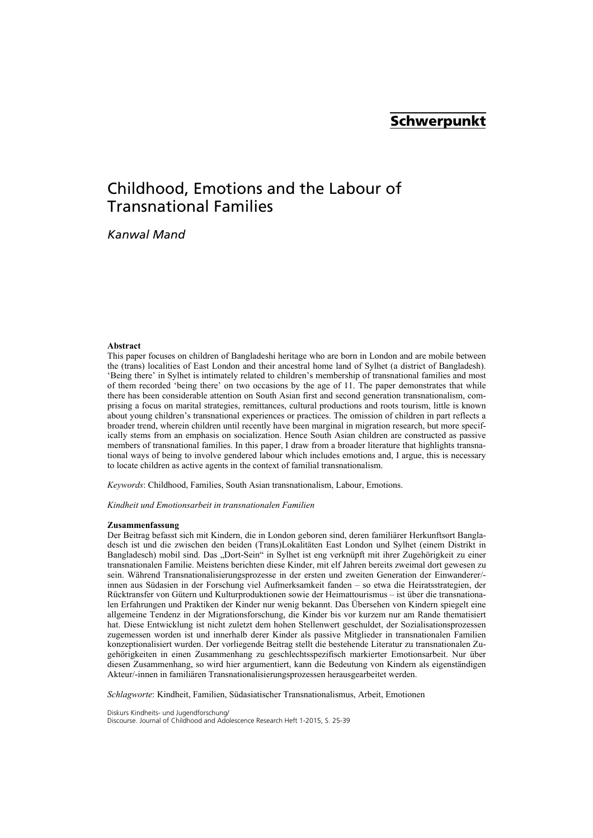## **Schwerpunkt**

# Childhood, Emotions and the Labour of Transnational Families

*Kanwal Mand* 

#### **Abstract**

This paper focuses on children of Bangladeshi heritage who are born in London and are mobile between the (trans) localities of East London and their ancestral home land of Sylhet (a district of Bangladesh). 'Being there' in Sylhet is intimately related to children's membership of transnational families and most of them recorded 'being there' on two occasions by the age of 11. The paper demonstrates that while there has been considerable attention on South Asian first and second generation transnationalism, comprising a focus on marital strategies, remittances, cultural productions and roots tourism, little is known about young children's transnational experiences or practices. The omission of children in part reflects a broader trend, wherein children until recently have been marginal in migration research, but more specifically stems from an emphasis on socialization. Hence South Asian children are constructed as passive members of transnational families. In this paper, I draw from a broader literature that highlights transnational ways of being to involve gendered labour which includes emotions and, I argue, this is necessary to locate children as active agents in the context of familial transnationalism.

*Keywords*: Childhood, Families, South Asian transnationalism, Labour, Emotions.

*Kindheit und Emotionsarbeit in transnationalen Familien* 

#### **Zusammenfassung**

Der Beitrag befasst sich mit Kindern, die in London geboren sind, deren familiärer Herkunftsort Bangladesch ist und die zwischen den beiden (Trans)Lokalitäten East London und Sylhet (einem Distrikt in Bangladesch) mobil sind. Das "Dort-Sein" in Sylhet ist eng verknüpft mit ihrer Zugehörigkeit zu einer transnationalen Familie. Meistens berichten diese Kinder, mit elf Jahren bereits zweimal dort gewesen zu sein. Während Transnationalisierungsprozesse in der ersten und zweiten Generation der Einwanderer/ innen aus Südasien in der Forschung viel Aufmerksamkeit fanden – so etwa die Heiratsstrategien, der Rücktransfer von Gütern und Kulturproduktionen sowie der Heimattourismus – ist über die transnationalen Erfahrungen und Praktiken der Kinder nur wenig bekannt. Das Übersehen von Kindern spiegelt eine allgemeine Tendenz in der Migrationsforschung, die Kinder bis vor kurzem nur am Rande thematisiert hat. Diese Entwicklung ist nicht zuletzt dem hohen Stellenwert geschuldet, der Sozialisationsprozessen zugemessen worden ist und innerhalb derer Kinder als passive Mitglieder in transnationalen Familien konzeptionalisiert wurden. Der vorliegende Beitrag stellt die bestehende Literatur zu transnationalen Zugehörigkeiten in einen Zusammenhang zu geschlechtsspezifisch markierter Emotionsarbeit. Nur über diesen Zusammenhang, so wird hier argumentiert, kann die Bedeutung von Kindern als eigenständigen Akteur/-innen in familiären Transnationalisierungsprozessen herausgearbeitet werden.

*Schlagworte*: Kindheit, Familien, Südasiatischer Transnationalismus, Arbeit, Emotionen

Diskurs Kindheits- und Jugendforschung/ Discourse. Journal of Childhood and Adolescence Research Heft 1-2015, S. 25-39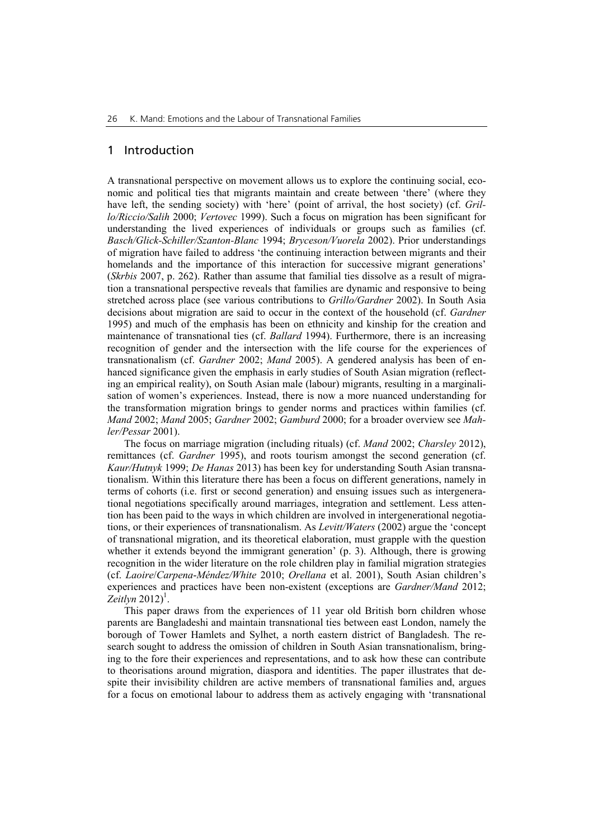#### 1 Introduction

A transnational perspective on movement allows us to explore the continuing social, economic and political ties that migrants maintain and create between 'there' (where they have left, the sending society) with 'here' (point of arrival, the host society) (cf. *Grillo/Riccio/Salih* 2000; *Vertovec* 1999). Such a focus on migration has been significant for understanding the lived experiences of individuals or groups such as families (cf. *Basch/Glick-Schiller/Szanton-Blanc* 1994; *Bryceson/Vuorela* 2002). Prior understandings of migration have failed to address 'the continuing interaction between migrants and their homelands and the importance of this interaction for successive migrant generations' (*Skrbis* 2007, p. 262). Rather than assume that familial ties dissolve as a result of migration a transnational perspective reveals that families are dynamic and responsive to being stretched across place (see various contributions to *Grillo/Gardner* 2002). In South Asia decisions about migration are said to occur in the context of the household (cf. *Gardner* 1995) and much of the emphasis has been on ethnicity and kinship for the creation and maintenance of transnational ties (cf. *Ballard* 1994). Furthermore, there is an increasing recognition of gender and the intersection with the life course for the experiences of transnationalism (cf. *Gardner* 2002; *Mand* 2005). A gendered analysis has been of enhanced significance given the emphasis in early studies of South Asian migration (reflecting an empirical reality), on South Asian male (labour) migrants, resulting in a marginalisation of women's experiences. Instead, there is now a more nuanced understanding for the transformation migration brings to gender norms and practices within families (cf. *Mand* 2002; *Mand* 2005; *Gardner* 2002; *Gamburd* 2000; for a broader overview see *Mahler/Pessar* 2001).

The focus on marriage migration (including rituals) (cf. *Mand* 2002; *Charsley* 2012), remittances (cf. *Gardner* 1995), and roots tourism amongst the second generation (cf. *Kaur/Hutnyk* 1999; *De Hanas* 2013) has been key for understanding South Asian transnationalism. Within this literature there has been a focus on different generations, namely in terms of cohorts (i.e. first or second generation) and ensuing issues such as intergenerational negotiations specifically around marriages, integration and settlement. Less attention has been paid to the ways in which children are involved in intergenerational negotiations, or their experiences of transnationalism. As *Levitt/Waters* (2002) argue the 'concept of transnational migration, and its theoretical elaboration, must grapple with the question whether it extends beyond the immigrant generation' (p. 3). Although, there is growing recognition in the wider literature on the role children play in familial migration strategies (cf. *Laoire*/*Carpena*-*Méndez/White* 2010; *Orellana* et al. 2001), South Asian children's experiences and practices have been non-existent (exceptions are *Gardner/Mand* 2012;  $Zeitlyn 2012$ <sup>1</sup>.

This paper draws from the experiences of 11 year old British born children whose parents are Bangladeshi and maintain transnational ties between east London, namely the borough of Tower Hamlets and Sylhet, a north eastern district of Bangladesh. The research sought to address the omission of children in South Asian transnationalism, bringing to the fore their experiences and representations, and to ask how these can contribute to theorisations around migration, diaspora and identities. The paper illustrates that despite their invisibility children are active members of transnational families and, argues for a focus on emotional labour to address them as actively engaging with 'transnational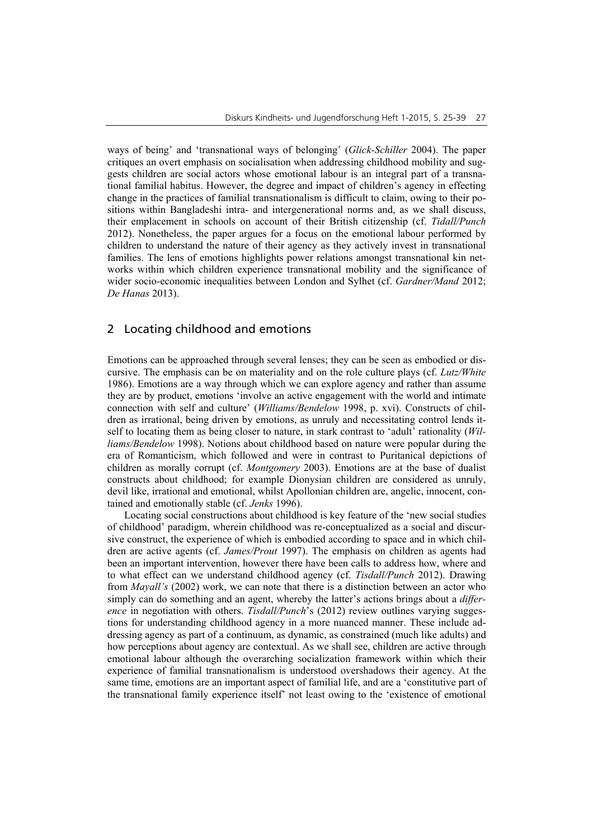ways of being' and 'transnational ways of belonging' (*Glick-Schiller* 2004). The paper critiques an overt emphasis on socialisation when addressing childhood mobility and suggests children are social actors whose emotional labour is an integral part of a transnational familial habitus. However, the degree and impact of children's agency in effecting change in the practices of familial transnationalism is difficult to claim, owing to their positions within Bangladeshi intra- and intergenerational norms and, as we shall discuss, their emplacement in schools on account of their British citizenship (cf. *Tidall/Punch* 2012). Nonetheless, the paper argues for a focus on the emotional labour performed by children to understand the nature of their agency as they actively invest in transnational families. The lens of emotions highlights power relations amongst transnational kin networks within which children experience transnational mobility and the significance of wider socio-economic inequalities between London and Sylhet (cf. *Gardner/Mand* 2012; *De Hanas* 2013).

## 2 Locating childhood and emotions

Emotions can be approached through several lenses; they can be seen as embodied or discursive. The emphasis can be on materiality and on the role culture plays (cf. *Lutz/White* 1986). Emotions are a way through which we can explore agency and rather than assume they are by product, emotions 'involve an active engagement with the world and intimate connection with self and culture' (*Williams/Bendelow* 1998, p. xvi). Constructs of children as irrational, being driven by emotions, as unruly and necessitating control lends itself to locating them as being closer to nature, in stark contrast to 'adult' rationality (*Williams/Bendelow* 1998). Notions about childhood based on nature were popular during the era of Romanticism, which followed and were in contrast to Puritanical depictions of children as morally corrupt (cf. *Montgomery* 2003). Emotions are at the base of dualist constructs about childhood; for example Dionysian children are considered as unruly, devil like, irrational and emotional, whilst Apollonian children are, angelic, innocent, contained and emotionally stable (cf. *Jenks* 1996).

Locating social constructions about childhood is key feature of the 'new social studies of childhood' paradigm, wherein childhood was re-conceptualized as a social and discursive construct, the experience of which is embodied according to space and in which children are active agents (cf. *James/Prout* 1997). The emphasis on children as agents had been an important intervention, however there have been calls to address how, where and to what effect can we understand childhood agency (cf. *Tisdall/Punch* 2012). Drawing from *Mayall's* (2002) work, we can note that there is a distinction between an actor who simply can do something and an agent, whereby the latter's actions brings about a *difference* in negotiation with others. *Tisdall/Punch*'s (2012) review outlines varying suggestions for understanding childhood agency in a more nuanced manner. These include addressing agency as part of a continuum, as dynamic, as constrained (much like adults) and how perceptions about agency are contextual. As we shall see, children are active through emotional labour although the overarching socialization framework within which their experience of familial transnationalism is understood overshadows their agency. At the same time, emotions are an important aspect of familial life, and are a 'constitutive part of the transnational family experience itself' not least owing to the 'existence of emotional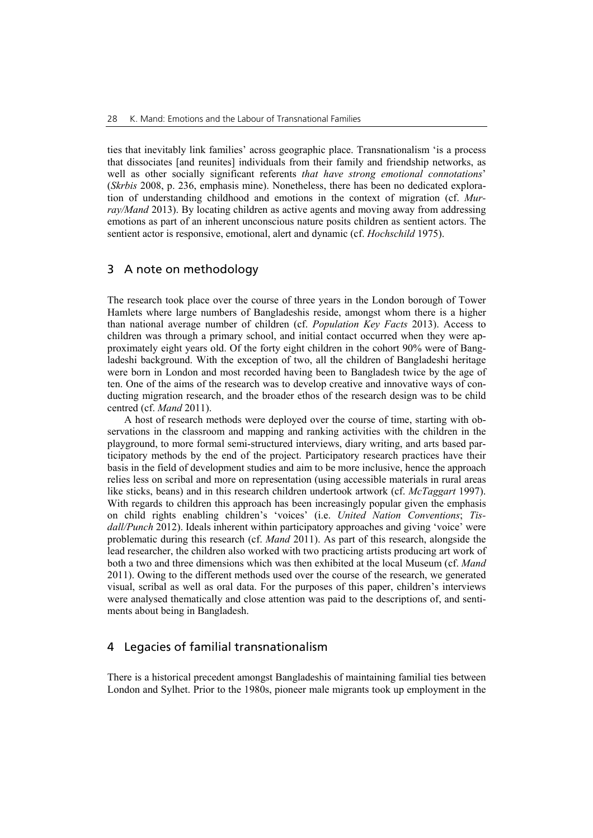ties that inevitably link families' across geographic place. Transnationalism 'is a process that dissociates [and reunites] individuals from their family and friendship networks, as well as other socially significant referents *that have strong emotional connotations*' (*Skrbis* 2008, p. 236, emphasis mine). Nonetheless, there has been no dedicated exploration of understanding childhood and emotions in the context of migration (cf. *Murray/Mand* 2013). By locating children as active agents and moving away from addressing emotions as part of an inherent unconscious nature posits children as sentient actors. The sentient actor is responsive, emotional, alert and dynamic (cf. *Hochschild* 1975).

### 3 A note on methodology

The research took place over the course of three years in the London borough of Tower Hamlets where large numbers of Bangladeshis reside, amongst whom there is a higher than national average number of children (cf. *Population Key Facts* 2013). Access to children was through a primary school, and initial contact occurred when they were approximately eight years old. Of the forty eight children in the cohort 90% were of Bangladeshi background. With the exception of two, all the children of Bangladeshi heritage were born in London and most recorded having been to Bangladesh twice by the age of ten. One of the aims of the research was to develop creative and innovative ways of conducting migration research, and the broader ethos of the research design was to be child centred (cf. *Mand* 2011).

A host of research methods were deployed over the course of time, starting with observations in the classroom and mapping and ranking activities with the children in the playground, to more formal semi-structured interviews, diary writing, and arts based participatory methods by the end of the project. Participatory research practices have their basis in the field of development studies and aim to be more inclusive, hence the approach relies less on scribal and more on representation (using accessible materials in rural areas like sticks, beans) and in this research children undertook artwork (cf. *McTaggart* 1997). With regards to children this approach has been increasingly popular given the emphasis on child rights enabling children's 'voices' (i.e. *United Nation Conventions*; *Tisdall/Punch* 2012). Ideals inherent within participatory approaches and giving 'voice' were problematic during this research (cf. *Mand* 2011). As part of this research, alongside the lead researcher, the children also worked with two practicing artists producing art work of both a two and three dimensions which was then exhibited at the local Museum (cf. *Mand*  2011). Owing to the different methods used over the course of the research, we generated visual, scribal as well as oral data. For the purposes of this paper, children's interviews were analysed thematically and close attention was paid to the descriptions of, and sentiments about being in Bangladesh.

#### 4 Legacies of familial transnationalism

There is a historical precedent amongst Bangladeshis of maintaining familial ties between London and Sylhet. Prior to the 1980s, pioneer male migrants took up employment in the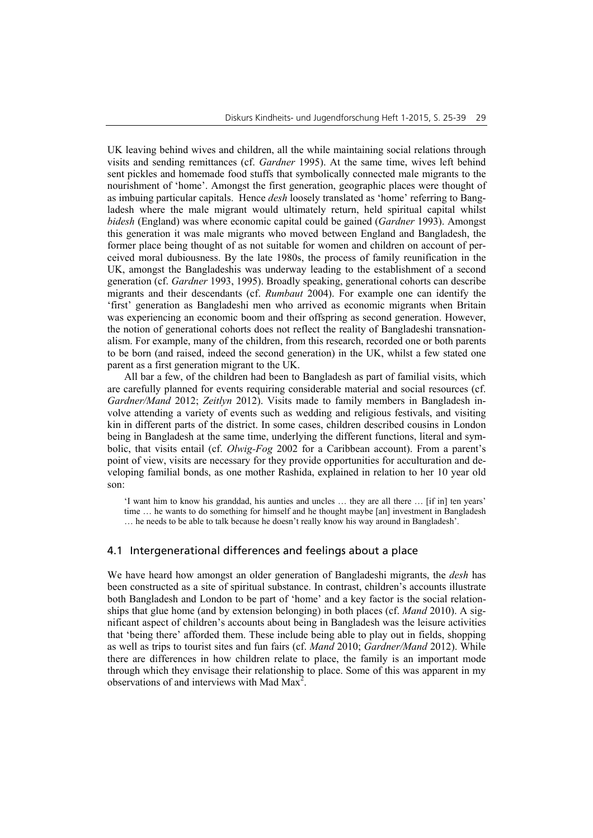UK leaving behind wives and children, all the while maintaining social relations through visits and sending remittances (cf. *Gardner* 1995). At the same time, wives left behind sent pickles and homemade food stuffs that symbolically connected male migrants to the nourishment of 'home'. Amongst the first generation, geographic places were thought of as imbuing particular capitals. Hence *desh* loosely translated as 'home' referring to Bangladesh where the male migrant would ultimately return, held spiritual capital whilst *bidesh* (England) was where economic capital could be gained (*Gardner* 1993). Amongst this generation it was male migrants who moved between England and Bangladesh, the former place being thought of as not suitable for women and children on account of perceived moral dubiousness. By the late 1980s, the process of family reunification in the UK, amongst the Bangladeshis was underway leading to the establishment of a second generation (cf. *Gardner* 1993, 1995). Broadly speaking, generational cohorts can describe migrants and their descendants (cf. *Rumbaut* 2004). For example one can identify the 'first' generation as Bangladeshi men who arrived as economic migrants when Britain was experiencing an economic boom and their offspring as second generation. However, the notion of generational cohorts does not reflect the reality of Bangladeshi transnationalism. For example, many of the children, from this research, recorded one or both parents to be born (and raised, indeed the second generation) in the UK, whilst a few stated one parent as a first generation migrant to the UK.

All bar a few, of the children had been to Bangladesh as part of familial visits, which are carefully planned for events requiring considerable material and social resources (cf. *Gardner/Mand* 2012; *Zeitlyn* 2012). Visits made to family members in Bangladesh involve attending a variety of events such as wedding and religious festivals, and visiting kin in different parts of the district. In some cases, children described cousins in London being in Bangladesh at the same time, underlying the different functions, literal and symbolic, that visits entail (cf. *Olwig-Fog* 2002 for a Caribbean account). From a parent's point of view, visits are necessary for they provide opportunities for acculturation and developing familial bonds, as one mother Rashida, explained in relation to her 10 year old son:

'I want him to know his granddad, his aunties and uncles … they are all there … [if in] ten years' time … he wants to do something for himself and he thought maybe [an] investment in Bangladesh … he needs to be able to talk because he doesn't really know his way around in Bangladesh'.

#### 4.1 Intergenerational differences and feelings about a place

We have heard how amongst an older generation of Bangladeshi migrants, the *desh* has been constructed as a site of spiritual substance. In contrast, children's accounts illustrate both Bangladesh and London to be part of 'home' and a key factor is the social relationships that glue home (and by extension belonging) in both places (cf. *Mand* 2010). A significant aspect of children's accounts about being in Bangladesh was the leisure activities that 'being there' afforded them. These include being able to play out in fields, shopping as well as trips to tourist sites and fun fairs (cf. *Mand* 2010; *Gardner/Mand* 2012). While there are differences in how children relate to place, the family is an important mode through which they envisage their relationship to place. Some of this was apparent in my observations of and interviews with Mad Max<sup>2</sup>.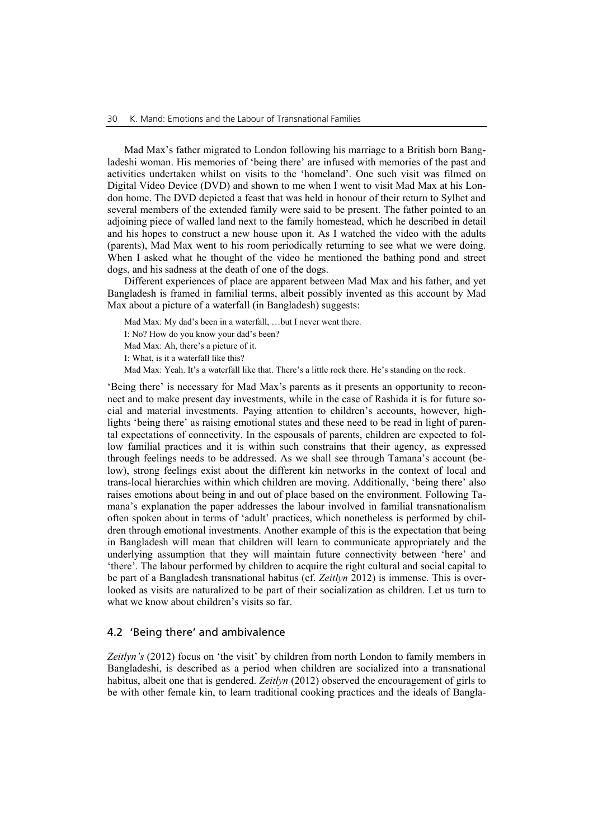Mad Max's father migrated to London following his marriage to a British born Bangladeshi woman. His memories of 'being there' are infused with memories of the past and activities undertaken whilst on visits to the 'homeland'. One such visit was filmed on Digital Video Device (DVD) and shown to me when I went to visit Mad Max at his London home. The DVD depicted a feast that was held in honour of their return to Sylhet and several members of the extended family were said to be present. The father pointed to an adjoining piece of walled land next to the family homestead, which he described in detail and his hopes to construct a new house upon it. As I watched the video with the adults (parents), Mad Max went to his room periodically returning to see what we were doing. When I asked what he thought of the video he mentioned the bathing pond and street dogs, and his sadness at the death of one of the dogs.

Different experiences of place are apparent between Mad Max and his father, and yet Bangladesh is framed in familial terms, albeit possibly invented as this account by Mad Max about a picture of a waterfall (in Bangladesh) suggests:

Mad Max: My dad's been in a waterfall, …but I never went there.

I: No? How do you know your dad's been?

Mad Max: Ah, there's a picture of it.

I: What, is it a waterfall like this?

Mad Max: Yeah. It's a waterfall like that. There's a little rock there. He's standing on the rock.

'Being there' is necessary for Mad Max's parents as it presents an opportunity to reconnect and to make present day investments, while in the case of Rashida it is for future social and material investments. Paying attention to children's accounts, however, highlights 'being there' as raising emotional states and these need to be read in light of parental expectations of connectivity. In the espousals of parents, children are expected to follow familial practices and it is within such constrains that their agency, as expressed through feelings needs to be addressed. As we shall see through Tamana's account (below), strong feelings exist about the different kin networks in the context of local and trans-local hierarchies within which children are moving. Additionally, 'being there' also raises emotions about being in and out of place based on the environment. Following Tamana's explanation the paper addresses the labour involved in familial transnationalism often spoken about in terms of 'adult' practices, which nonetheless is performed by children through emotional investments. Another example of this is the expectation that being in Bangladesh will mean that children will learn to communicate appropriately and the underlying assumption that they will maintain future connectivity between 'here' and 'there'. The labour performed by children to acquire the right cultural and social capital to be part of a Bangladesh transnational habitus (cf. *Zeitlyn* 2012) is immense. This is overlooked as visits are naturalized to be part of their socialization as children. Let us turn to what we know about children's visits so far.

#### 4.2 'Being there' and ambivalence

*Zeitlyn's* (2012) focus on 'the visit' by children from north London to family members in Bangladeshi, is described as a period when children are socialized into a transnational habitus, albeit one that is gendered. *Zeitlyn* (2012) observed the encouragement of girls to be with other female kin, to learn traditional cooking practices and the ideals of Bangla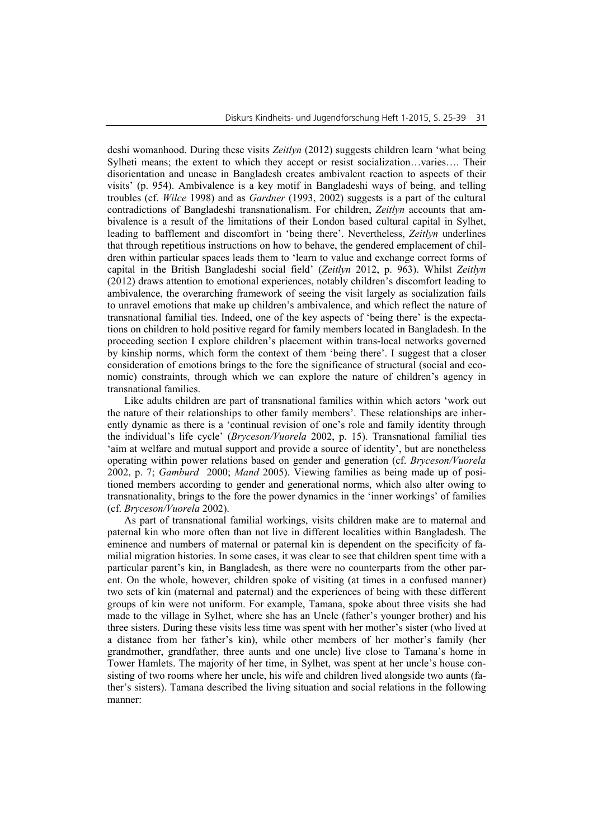deshi womanhood. During these visits *Zeitlyn* (2012) suggests children learn 'what being Sylheti means; the extent to which they accept or resist socialization…varies…. Their disorientation and unease in Bangladesh creates ambivalent reaction to aspects of their visits' (p. 954). Ambivalence is a key motif in Bangladeshi ways of being, and telling troubles (cf. *Wilce* 1998) and as *Gardner* (1993, 2002) suggests is a part of the cultural contradictions of Bangladeshi transnationalism. For children, *Zeitlyn* accounts that ambivalence is a result of the limitations of their London based cultural capital in Sylhet, leading to bafflement and discomfort in 'being there'. Nevertheless, *Zeitlyn* underlines that through repetitious instructions on how to behave, the gendered emplacement of children within particular spaces leads them to 'learn to value and exchange correct forms of capital in the British Bangladeshi social field' (*Zeitlyn* 2012, p. 963). Whilst *Zeitlyn* (2012) draws attention to emotional experiences, notably children's discomfort leading to ambivalence, the overarching framework of seeing the visit largely as socialization fails to unravel emotions that make up children's ambivalence, and which reflect the nature of transnational familial ties. Indeed, one of the key aspects of 'being there' is the expectations on children to hold positive regard for family members located in Bangladesh. In the proceeding section I explore children's placement within trans-local networks governed by kinship norms, which form the context of them 'being there'. I suggest that a closer consideration of emotions brings to the fore the significance of structural (social and economic) constraints, through which we can explore the nature of children's agency in transnational families.

Like adults children are part of transnational families within which actors 'work out the nature of their relationships to other family members'. These relationships are inherently dynamic as there is a 'continual revision of one's role and family identity through the individual's life cycle' (*Bryceson/Vuorela* 2002, p. 15). Transnational familial ties 'aim at welfare and mutual support and provide a source of identity', but are nonetheless operating within power relations based on gender and generation (cf. *Bryceson/Vuorela* 2002, p. 7; *Gamburd* 2000; *Mand* 2005). Viewing families as being made up of positioned members according to gender and generational norms, which also alter owing to transnationality, brings to the fore the power dynamics in the 'inner workings' of families (cf. *Bryceson/Vuorela* 2002).

As part of transnational familial workings, visits children make are to maternal and paternal kin who more often than not live in different localities within Bangladesh. The eminence and numbers of maternal or paternal kin is dependent on the specificity of familial migration histories. In some cases, it was clear to see that children spent time with a particular parent's kin, in Bangladesh, as there were no counterparts from the other parent. On the whole, however, children spoke of visiting (at times in a confused manner) two sets of kin (maternal and paternal) and the experiences of being with these different groups of kin were not uniform. For example, Tamana, spoke about three visits she had made to the village in Sylhet, where she has an Uncle (father's younger brother) and his three sisters. During these visits less time was spent with her mother's sister (who lived at a distance from her father's kin), while other members of her mother's family (her grandmother, grandfather, three aunts and one uncle) live close to Tamana's home in Tower Hamlets. The majority of her time, in Sylhet, was spent at her uncle's house consisting of two rooms where her uncle, his wife and children lived alongside two aunts (father's sisters). Tamana described the living situation and social relations in the following manner: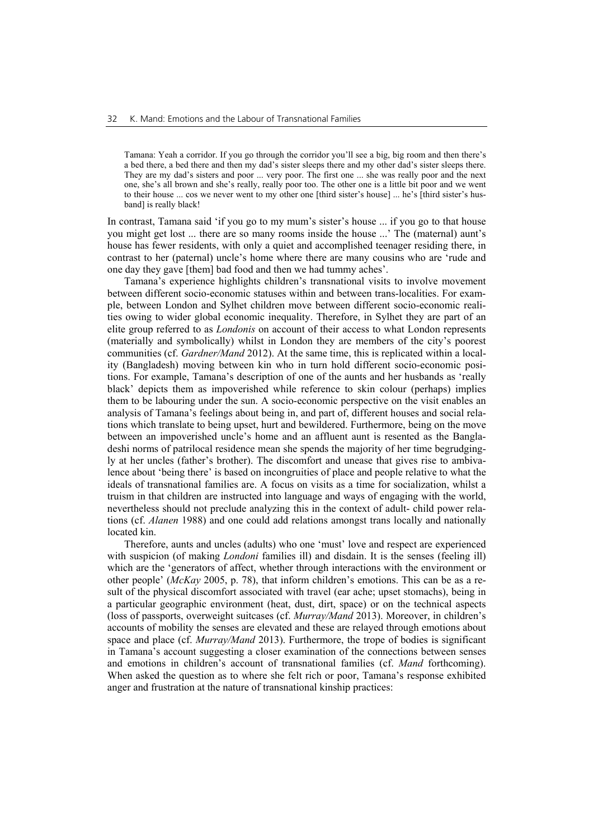Tamana: Yeah a corridor. If you go through the corridor you'll see a big, big room and then there's a bed there, a bed there and then my dad's sister sleeps there and my other dad's sister sleeps there. They are my dad's sisters and poor ... very poor. The first one ... she was really poor and the next one, she's all brown and she's really, really poor too. The other one is a little bit poor and we went to their house ... cos we never went to my other one [third sister's house] ... he's [third sister's husband] is really black!

In contrast, Tamana said 'if you go to my mum's sister's house ... if you go to that house you might get lost ... there are so many rooms inside the house ...' The (maternal) aunt's house has fewer residents, with only a quiet and accomplished teenager residing there, in contrast to her (paternal) uncle's home where there are many cousins who are 'rude and one day they gave [them] bad food and then we had tummy aches'.

Tamana's experience highlights children's transnational visits to involve movement between different socio-economic statuses within and between trans-localities. For example, between London and Sylhet children move between different socio-economic realities owing to wider global economic inequality. Therefore, in Sylhet they are part of an elite group referred to as *Londonis* on account of their access to what London represents (materially and symbolically) whilst in London they are members of the city's poorest communities (cf. *Gardner/Mand* 2012). At the same time, this is replicated within a locality (Bangladesh) moving between kin who in turn hold different socio-economic positions. For example, Tamana's description of one of the aunts and her husbands as 'really black' depicts them as impoverished while reference to skin colour (perhaps) implies them to be labouring under the sun. A socio-economic perspective on the visit enables an analysis of Tamana's feelings about being in, and part of, different houses and social relations which translate to being upset, hurt and bewildered. Furthermore, being on the move between an impoverished uncle's home and an affluent aunt is resented as the Bangladeshi norms of patrilocal residence mean she spends the majority of her time begrudgingly at her uncles (father's brother). The discomfort and unease that gives rise to ambivalence about 'being there' is based on incongruities of place and people relative to what the ideals of transnational families are. A focus on visits as a time for socialization, whilst a truism in that children are instructed into language and ways of engaging with the world, nevertheless should not preclude analyzing this in the context of adult- child power relations (cf. *Alanen* 1988) and one could add relations amongst trans locally and nationally located kin.

Therefore, aunts and uncles (adults) who one 'must' love and respect are experienced with suspicion (of making *Londoni* families ill) and disdain. It is the senses (feeling ill) which are the 'generators of affect, whether through interactions with the environment or other people' (*McKay* 2005, p. 78), that inform children's emotions. This can be as a result of the physical discomfort associated with travel (ear ache; upset stomachs), being in a particular geographic environment (heat, dust, dirt, space) or on the technical aspects (loss of passports, overweight suitcases (cf. *Murray/Mand* 2013). Moreover, in children's accounts of mobility the senses are elevated and these are relayed through emotions about space and place (cf. *Murray/Mand* 2013). Furthermore, the trope of bodies is significant in Tamana's account suggesting a closer examination of the connections between senses and emotions in children's account of transnational families (cf. *Mand* forthcoming). When asked the question as to where she felt rich or poor, Tamana's response exhibited anger and frustration at the nature of transnational kinship practices: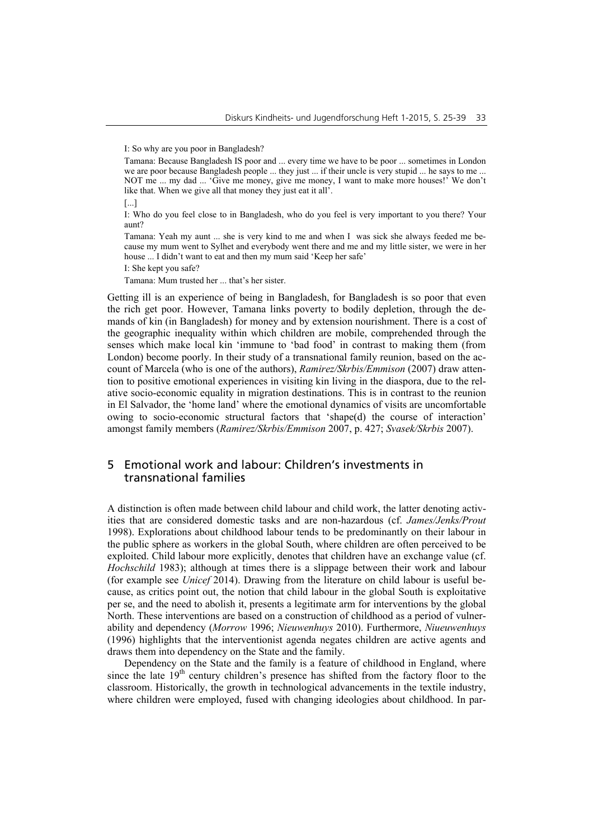I: So why are you poor in Bangladesh?

I: Who do you feel close to in Bangladesh, who do you feel is very important to you there? Your aunt?

Tamana: Yeah my aunt ... she is very kind to me and when I was sick she always feeded me because my mum went to Sylhet and everybody went there and me and my little sister, we were in her house ... I didn't want to eat and then my mum said 'Keep her safe'

I: She kept you safe?

Tamana: Mum trusted her ... that's her sister.

Getting ill is an experience of being in Bangladesh, for Bangladesh is so poor that even the rich get poor. However, Tamana links poverty to bodily depletion, through the demands of kin (in Bangladesh) for money and by extension nourishment. There is a cost of the geographic inequality within which children are mobile, comprehended through the senses which make local kin 'immune to 'bad food' in contrast to making them (from London) become poorly. In their study of a transnational family reunion, based on the account of Marcela (who is one of the authors), *Ramirez/Skrbis/Emmison* (2007) draw attention to positive emotional experiences in visiting kin living in the diaspora, due to the relative socio-economic equality in migration destinations. This is in contrast to the reunion in El Salvador, the 'home land' where the emotional dynamics of visits are uncomfortable owing to socio-economic structural factors that 'shape(d) the course of interaction' amongst family members (*Ramirez/Skrbis/Emmison* 2007, p. 427; *Svasek/Skrbis* 2007).

## 5 Emotional work and labour: Children's investments in transnational families

A distinction is often made between child labour and child work, the latter denoting activities that are considered domestic tasks and are non-hazardous (cf. *James/Jenks/Prout* 1998). Explorations about childhood labour tends to be predominantly on their labour in the public sphere as workers in the global South, where children are often perceived to be exploited. Child labour more explicitly, denotes that children have an exchange value (cf. *Hochschild* 1983); although at times there is a slippage between their work and labour (for example see *Unicef* 2014). Drawing from the literature on child labour is useful because, as critics point out, the notion that child labour in the global South is exploitative per se, and the need to abolish it, presents a legitimate arm for interventions by the global North. These interventions are based on a construction of childhood as a period of vulnerability and dependency (*Morrow* 1996; *Nieuwenhuys* 2010). Furthermore, *Niueuwenhuys* (1996) highlights that the interventionist agenda negates children are active agents and draws them into dependency on the State and the family.

Dependency on the State and the family is a feature of childhood in England, where since the late  $19<sup>th</sup>$  century children's presence has shifted from the factory floor to the classroom. Historically, the growth in technological advancements in the textile industry, where children were employed, fused with changing ideologies about childhood. In par-

Tamana: Because Bangladesh IS poor and ... every time we have to be poor ... sometimes in London we are poor because Bangladesh people ... they just ... if their uncle is very stupid ... he says to me ... NOT me ... my dad ... 'Give me money, give me money, I want to make more houses!' We don't like that. When we give all that money they just eat it all'.

<sup>[...]</sup>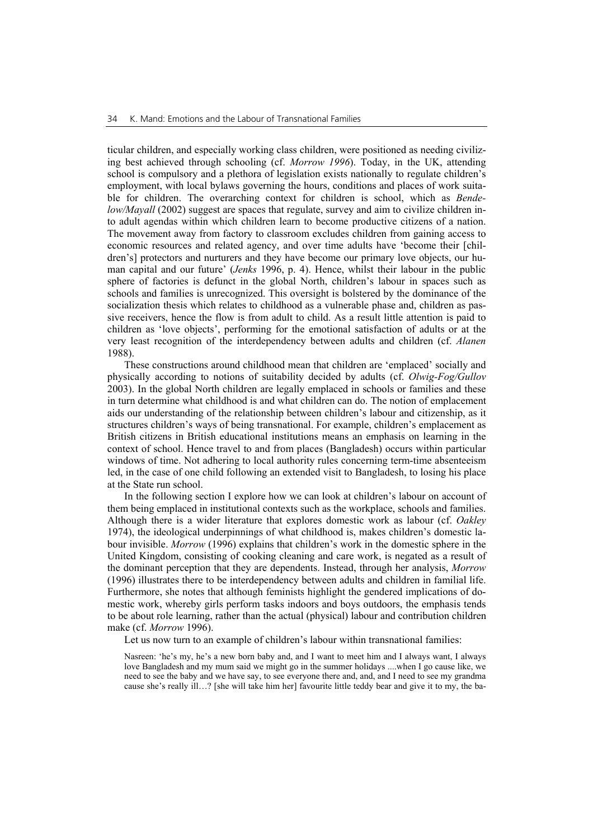ticular children, and especially working class children, were positioned as needing civilizing best achieved through schooling (cf. *Morrow 1996*). Today, in the UK, attending school is compulsory and a plethora of legislation exists nationally to regulate children's employment, with local bylaws governing the hours, conditions and places of work suitable for children. The overarching context for children is school, which as *Bendelow/Mayall* (2002) suggest are spaces that regulate, survey and aim to civilize children into adult agendas within which children learn to become productive citizens of a nation. The movement away from factory to classroom excludes children from gaining access to economic resources and related agency, and over time adults have 'become their [children's] protectors and nurturers and they have become our primary love objects, our human capital and our future' (*Jenks* 1996, p. 4). Hence, whilst their labour in the public sphere of factories is defunct in the global North, children's labour in spaces such as schools and families is unrecognized. This oversight is bolstered by the dominance of the socialization thesis which relates to childhood as a vulnerable phase and, children as passive receivers, hence the flow is from adult to child. As a result little attention is paid to children as 'love objects', performing for the emotional satisfaction of adults or at the very least recognition of the interdependency between adults and children (cf. *Alanen* 1988).

These constructions around childhood mean that children are 'emplaced' socially and physically according to notions of suitability decided by adults (cf. *Olwig-Fog/Gullov*  2003). In the global North children are legally emplaced in schools or families and these in turn determine what childhood is and what children can do. The notion of emplacement aids our understanding of the relationship between children's labour and citizenship, as it structures children's ways of being transnational. For example, children's emplacement as British citizens in British educational institutions means an emphasis on learning in the context of school. Hence travel to and from places (Bangladesh) occurs within particular windows of time. Not adhering to local authority rules concerning term-time absenteeism led, in the case of one child following an extended visit to Bangladesh, to losing his place at the State run school.

In the following section I explore how we can look at children's labour on account of them being emplaced in institutional contexts such as the workplace, schools and families. Although there is a wider literature that explores domestic work as labour (cf. *Oakley*  1974), the ideological underpinnings of what childhood is, makes children's domestic labour invisible. *Morrow* (1996) explains that children's work in the domestic sphere in the United Kingdom, consisting of cooking cleaning and care work, is negated as a result of the dominant perception that they are dependents. Instead, through her analysis, *Morrow* (1996) illustrates there to be interdependency between adults and children in familial life. Furthermore, she notes that although feminists highlight the gendered implications of domestic work, whereby girls perform tasks indoors and boys outdoors, the emphasis tends to be about role learning, rather than the actual (physical) labour and contribution children make (cf. *Morrow* 1996).

Let us now turn to an example of children's labour within transnational families:

Nasreen: 'he's my, he's a new born baby and, and I want to meet him and I always want, I always love Bangladesh and my mum said we might go in the summer holidays ....when I go cause like, we need to see the baby and we have say, to see everyone there and, and, and I need to see my grandma cause she's really ill…? [she will take him her] favourite little teddy bear and give it to my, the ba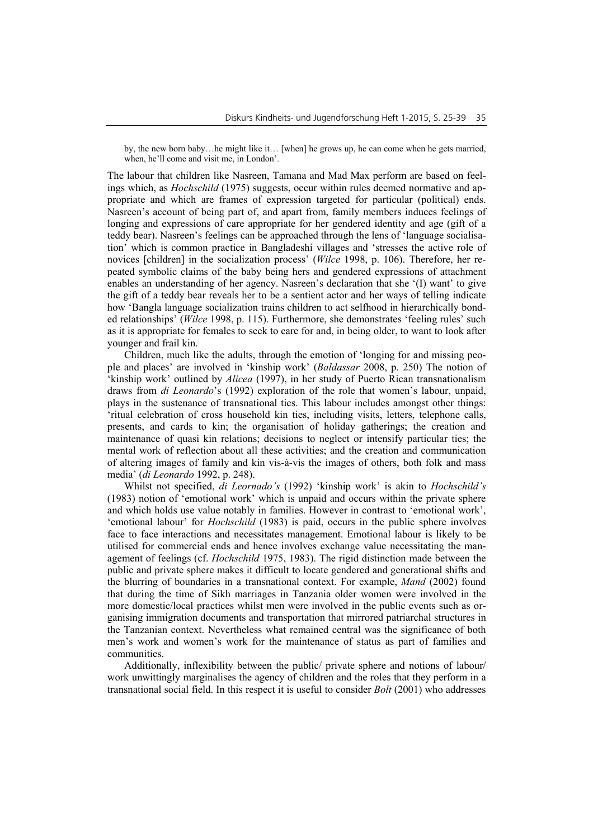by, the new born baby…he might like it… [when] he grows up, he can come when he gets married, when, he'll come and visit me, in London'.

The labour that children like Nasreen, Tamana and Mad Max perform are based on feelings which, as *Hochschild* (1975) suggests, occur within rules deemed normative and appropriate and which are frames of expression targeted for particular (political) ends. Nasreen's account of being part of, and apart from, family members induces feelings of longing and expressions of care appropriate for her gendered identity and age (gift of a teddy bear). Nasreen's feelings can be approached through the lens of 'language socialisation' which is common practice in Bangladeshi villages and 'stresses the active role of novices [children] in the socialization process' (*Wilce* 1998, p. 106). Therefore, her repeated symbolic claims of the baby being hers and gendered expressions of attachment enables an understanding of her agency. Nasreen's declaration that she '(I) want' to give the gift of a teddy bear reveals her to be a sentient actor and her ways of telling indicate how 'Bangla language socialization trains children to act selfhood in hierarchically bonded relationships' (*Wilce* 1998, p. 115). Furthermore, she demonstrates 'feeling rules' such as it is appropriate for females to seek to care for and, in being older, to want to look after younger and frail kin.

Children, much like the adults, through the emotion of 'longing for and missing people and places' are involved in 'kinship work' (*Baldassar* 2008, p. 250) The notion of 'kinship work' outlined by *Alicea* (1997), in her study of Puerto Rican transnationalism draws from *di Leonardo*'s (1992) exploration of the role that women's labour, unpaid, plays in the sustenance of transnational ties. This labour includes amongst other things: 'ritual celebration of cross household kin ties, including visits, letters, telephone calls, presents, and cards to kin; the organisation of holiday gatherings; the creation and maintenance of quasi kin relations; decisions to neglect or intensify particular ties; the mental work of reflection about all these activities; and the creation and communication of altering images of family and kin vis-à-vis the images of others, both folk and mass media' (*di Leonardo* 1992, p. 248).

Whilst not specified, *di Leornado's* (1992) 'kinship work' is akin to *Hochschild's* (1983) notion of 'emotional work' which is unpaid and occurs within the private sphere and which holds use value notably in families. However in contrast to 'emotional work', 'emotional labour' for *Hochschild* (1983) is paid, occurs in the public sphere involves face to face interactions and necessitates management. Emotional labour is likely to be utilised for commercial ends and hence involves exchange value necessitating the management of feelings (cf. *Hochschild* 1975, 1983). The rigid distinction made between the public and private sphere makes it difficult to locate gendered and generational shifts and the blurring of boundaries in a transnational context. For example, *Mand* (2002) found that during the time of Sikh marriages in Tanzania older women were involved in the more domestic/local practices whilst men were involved in the public events such as organising immigration documents and transportation that mirrored patriarchal structures in the Tanzanian context. Nevertheless what remained central was the significance of both men's work and women's work for the maintenance of status as part of families and communities.

Additionally, inflexibility between the public/ private sphere and notions of labour/ work unwittingly marginalises the agency of children and the roles that they perform in a transnational social field. In this respect it is useful to consider *Bolt* (2001) who addresses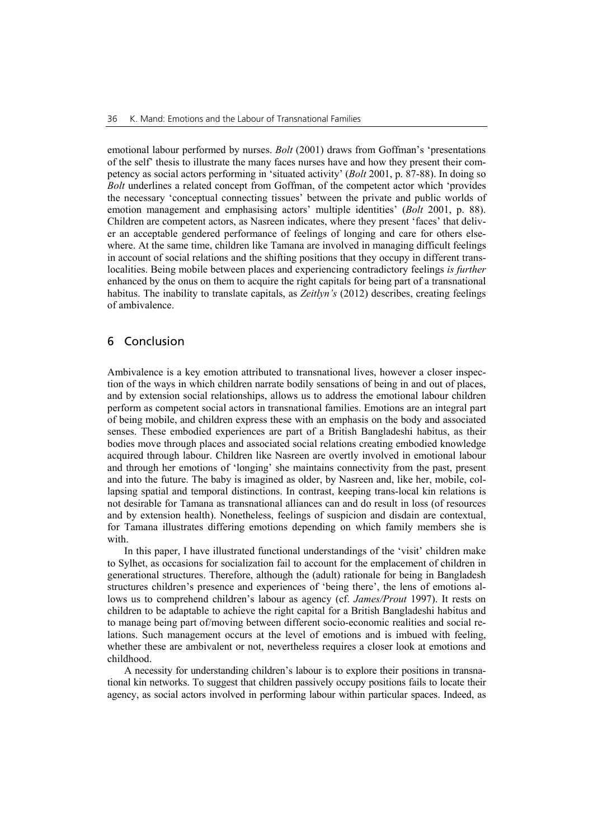emotional labour performed by nurses. *Bolt* (2001) draws from Goffman's 'presentations of the self' thesis to illustrate the many faces nurses have and how they present their competency as social actors performing in 'situated activity' (*Bolt* 2001, p. 87-88). In doing so *Bolt* underlines a related concept from Goffman, of the competent actor which 'provides the necessary 'conceptual connecting tissues' between the private and public worlds of emotion management and emphasising actors' multiple identities' (*Bolt* 2001, p. 88). Children are competent actors, as Nasreen indicates, where they present 'faces' that deliver an acceptable gendered performance of feelings of longing and care for others elsewhere. At the same time, children like Tamana are involved in managing difficult feelings in account of social relations and the shifting positions that they occupy in different translocalities. Being mobile between places and experiencing contradictory feelings *is further* enhanced by the onus on them to acquire the right capitals for being part of a transnational habitus. The inability to translate capitals, as *Zeitlyn's* (2012) describes, creating feelings of ambivalence.

### 6 Conclusion

Ambivalence is a key emotion attributed to transnational lives, however a closer inspection of the ways in which children narrate bodily sensations of being in and out of places, and by extension social relationships, allows us to address the emotional labour children perform as competent social actors in transnational families. Emotions are an integral part of being mobile, and children express these with an emphasis on the body and associated senses. These embodied experiences are part of a British Bangladeshi habitus, as their bodies move through places and associated social relations creating embodied knowledge acquired through labour. Children like Nasreen are overtly involved in emotional labour and through her emotions of 'longing' she maintains connectivity from the past, present and into the future. The baby is imagined as older, by Nasreen and, like her, mobile, collapsing spatial and temporal distinctions. In contrast, keeping trans-local kin relations is not desirable for Tamana as transnational alliances can and do result in loss (of resources and by extension health). Nonetheless, feelings of suspicion and disdain are contextual, for Tamana illustrates differing emotions depending on which family members she is with.

In this paper, I have illustrated functional understandings of the 'visit' children make to Sylhet, as occasions for socialization fail to account for the emplacement of children in generational structures. Therefore, although the (adult) rationale for being in Bangladesh structures children's presence and experiences of 'being there', the lens of emotions allows us to comprehend children's labour as agency (cf. *James/Prout* 1997). It rests on children to be adaptable to achieve the right capital for a British Bangladeshi habitus and to manage being part of/moving between different socio-economic realities and social relations. Such management occurs at the level of emotions and is imbued with feeling, whether these are ambivalent or not, nevertheless requires a closer look at emotions and childhood.

A necessity for understanding children's labour is to explore their positions in transnational kin networks. To suggest that children passively occupy positions fails to locate their agency, as social actors involved in performing labour within particular spaces. Indeed, as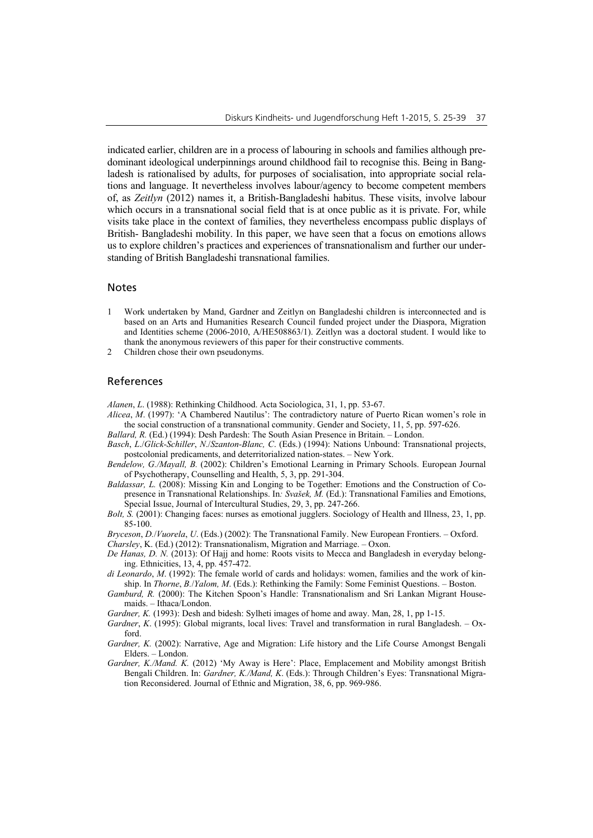indicated earlier, children are in a process of labouring in schools and families although predominant ideological underpinnings around childhood fail to recognise this. Being in Bangladesh is rationalised by adults, for purposes of socialisation, into appropriate social relations and language. It nevertheless involves labour/agency to become competent members of, as *Zeitlyn* (2012) names it, a British-Bangladeshi habitus. These visits, involve labour which occurs in a transnational social field that is at once public as it is private. For, while visits take place in the context of families, they nevertheless encompass public displays of British- Bangladeshi mobility. In this paper, we have seen that a focus on emotions allows us to explore children's practices and experiences of transnationalism and further our understanding of British Bangladeshi transnational families.

#### Notes

- 1 Work undertaken by Mand, Gardner and Zeitlyn on Bangladeshi children is interconnected and is based on an Arts and Humanities Research Council funded project under the Diaspora, Migration and Identities scheme (2006-2010, A/HE508863/1). Zeitlyn was a doctoral student. I would like to thank the anonymous reviewers of this paper for their constructive comments.
- 2 Children chose their own pseudonyms.

#### References

*Alanen*, *L*. (1988): Rethinking Childhood. Acta Sociologica, 31, 1, pp. 53-67.

- *Alicea*, *M*. (1997): 'A Chambered Nautilus': The contradictory nature of Puerto Rican women's role in the social construction of a transnational community. Gender and Society, 11, 5, pp. 597-626.
- *Ballard, R.* (Ed.) (1994): Desh Pardesh: The South Asian Presence in Britain. London.
- *Basch*, *L*./*Glick-Schiller*, *N*./*Szanton-Blanc, C*. (Eds.) (1994): Nations Unbound: Transnational projects, postcolonial predicaments, and deterritorialized nation-states. – New York.
- *Bendelow, G./Mayall, B.* (2002): Children's Emotional Learning in Primary Schools. European Journal of Psychotherapy, Counselling and Health, 5, 3, pp. 291-304.
- *Baldassar, L.* (2008): Missing Kin and Longing to be Together: Emotions and the Construction of Copresence in Transnational Relationships. In*: Svašek, M.* (Ed.): Transnational Families and Emotions, Special Issue, Journal of Intercultural Studies, 29, 3, pp. 247-266.
- *Bolt, S.* (2001): Changing faces: nurses as emotional jugglers. Sociology of Health and Illness, 23, 1, pp. 85-100.
- *Bryceson*, *D.*/*Vuorela*, *U*. (Eds.) (2002): The Transnational Family. New European Frontiers. Oxford.

*Charsley*, K. (Ed.) (2012): Transnationalism, Migration and Marriage. – Oxon.

- *De Hanas, D. N.* (2013): Of Hajj and home: Roots visits to Mecca and Bangladesh in everyday belonging. Ethnicities, 13, 4, pp. 457-472.
- *di Leonardo*, *M*. (1992): The female world of cards and holidays: women, families and the work of kinship. In *Thorne*, *B.*/*Yalom, M*. (Eds.): Rethinking the Family: Some Feminist Questions. – Boston.
- *Gamburd, R.* (2000): The Kitchen Spoon's Handle: Transnationalism and Sri Lankan Migrant Housemaids. – Ithaca/London.
- *Gardner, K.* (1993): Desh and bidesh: Sylheti images of home and away. Man, 28, 1, pp 1-15.
- *Gardner*, *K*. (1995): Global migrants, local lives: Travel and transformation in rural Bangladesh. Oxford.
- *Gardner, K.* (2002): Narrative, Age and Migration: Life history and the Life Course Amongst Bengali Elders. – London.
- *Gardner, K./Mand. K.* (2012) 'My Away is Here': Place, Emplacement and Mobility amongst British Bengali Children. In: *Gardner, K./Mand, K*. (Eds.): Through Children's Eyes: Transnational Migration Reconsidered. Journal of Ethnic and Migration, 38, 6, pp. 969-986.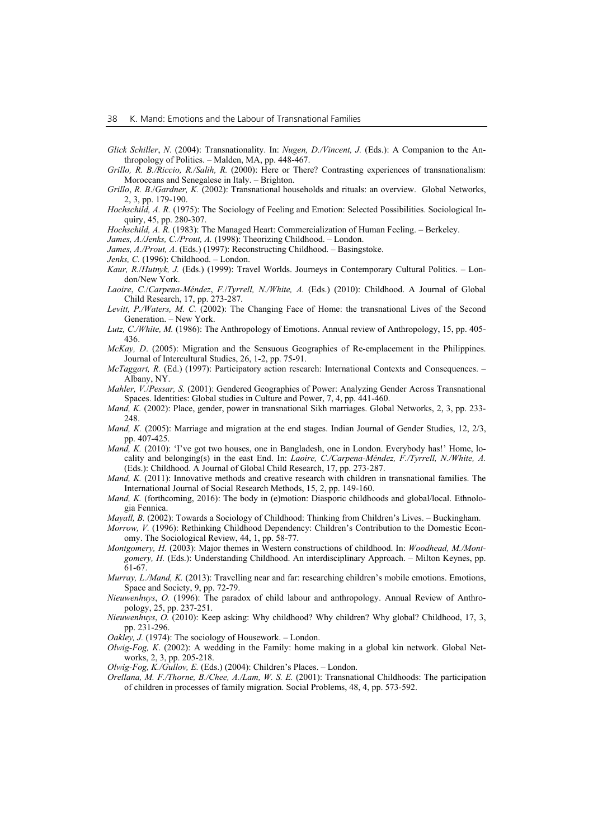- *Glick Schiller*, *N*. (2004): Transnationality. In: *Nugen, D./Vincent, J.* (Eds.): A Companion to the Anthropology of Politics. – Malden, MA, pp. 448-467.
- *Grillo, R. B./Riccio, R./Salih, R.* (2000): Here or There? Contrasting experiences of transnationalism: Moroccans and Senegalese in Italy. – Brighton.
- *Grillo*, *R. B*./*Gardner, K.* (2002): Transnational households and rituals: an overview. Global Networks, 2, 3, pp. 179-190.
- *Hochschild, A. R.* (1975): The Sociology of Feeling and Emotion: Selected Possibilities. Sociological Inquiry, 45, pp. 280-307.

*Hochschild, A. R.* (1983): The Managed Heart: Commercialization of Human Feeling. – Berkeley.

- *James, A./Jenks, C./Prout, A.* (1998): Theorizing Childhood. London. *James, A./Prout, A*. (Eds.) (1997): Reconstructing Childhood. – Basingstoke.
- *Jenks, C.* (1996): Childhood. London.
- *Kaur, R.*/*Hutnyk, J.* (Eds.) (1999): Travel Worlds. Journeys in Contemporary Cultural Politics. London/New York.
- *Laoire*, *C.*/*Carpena-Méndez*, *F.*/*Tyrrell, N./White, A.* (Eds.) (2010): Childhood. A Journal of Global Child Research, 17, pp. 273-287.
- *Levitt, P./Waters, M. C.* (2002): The Changing Face of Home: the transnational Lives of the Second Generation. – New York.
- *Lutz, C./White, M.* (1986): The Anthropology of Emotions. Annual review of Anthropology, 15, pp. 405- 436.
- *McKay, D*. (2005): Migration and the Sensuous Geographies of Re-emplacement in the Philippines. Journal of Intercultural Studies, 26, 1-2, pp. 75-91.
- *McTaggart, R. (Ed.) (1997): Participatory action research: International Contexts and Consequences.* Albany, NY.
- *Mahler, V.*/*Pessar, S.* (2001): Gendered Geographies of Power: Analyzing Gender Across Transnational Spaces. Identities: Global studies in Culture and Power, 7, 4, pp. 441-460.
- *Mand, K.* (2002): Place, gender, power in transnational Sikh marriages. Global Networks, 2, 3, pp. 233- 248.
- *Mand, K.* (2005): Marriage and migration at the end stages. Indian Journal of Gender Studies, 12, 2/3, pp. 407-425.
- *Mand, K.* (2010): 'I've got two houses, one in Bangladesh, one in London. Everybody has!' Home, locality and belonging(s) in the east End. In: *Laoire, C./Carpena-Méndez, F./Tyrrell, N./White, A.* (Eds.): Childhood. A Journal of Global Child Research, 17, pp. 273-287.
- *Mand, K.* (2011): Innovative methods and creative research with children in transnational families. The International Journal of Social Research Methods, 15, 2, pp. 149-160.
- *Mand, K.* (forthcoming, 2016): The body in (e)motion: Diasporic childhoods and global/local. Ethnologia Fennica.
- *Mayall, B.* (2002): Towards a Sociology of Childhood: Thinking from Children's Lives. Buckingham.
- *Morrow, V.* (1996): Rethinking Childhood Dependency: Children's Contribution to the Domestic Economy. The Sociological Review, 44, 1, pp. 58-77.
- *Montgomery, H.* (2003): Major themes in Western constructions of childhood. In: *Woodhead, M./Montgomery, H.* (Eds.): Understanding Childhood. An interdisciplinary Approach. – Milton Keynes, pp. 61-67.
- *Murray, L./Mand, K.* (2013): Travelling near and far: researching children's mobile emotions. Emotions, Space and Society, 9, pp. 72-79.
- *Nieuwenhuys*, *O.* (1996): The paradox of child labour and anthropology. Annual Review of Anthropology, 25, pp. 237-251.
- *Nieuwenhuys*, *O.* (2010): Keep asking: Why childhood? Why children? Why global? Childhood, 17, 3, pp. 231-296.
- *Oakley, J.* (1974): The sociology of Housework. London.
- *Olwig-Fog, K*. (2002): A wedding in the Family: home making in a global kin network. Global Networks, 2, 3, pp. 205-218.
- *Olwig-Fog, K./Gullov, E.* (Eds.) (2004): Children's Places. London.
- *Orellana, M. F./Thorne, B./Chee, A./Lam, W. S. E.* (2001): Transnational Childhoods: The participation of children in processes of family migration. Social Problems, 48, 4, pp. 573-592.